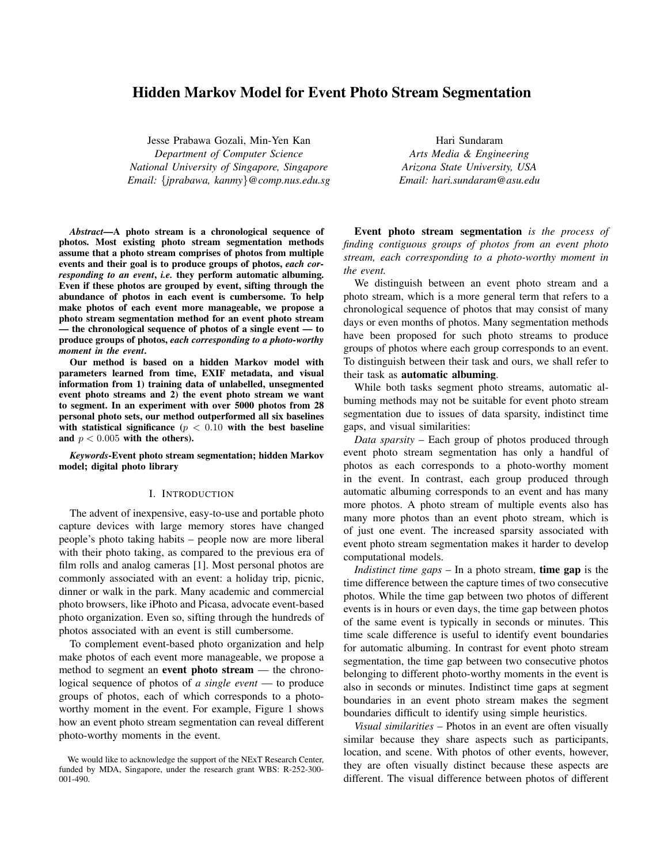# Hidden Markov Model for Event Photo Stream Segmentation

Jesse Prabawa Gozali, Min-Yen Kan *Department of Computer Science National University of Singapore, Singapore Email:* {*jprabawa, kanmy*}*@comp.nus.edu.sg*

*Abstract*—A photo stream is a chronological sequence of photos. Most existing photo stream segmentation methods assume that a photo stream comprises of photos from multiple events and their goal is to produce groups of photos, *each corresponding to an event*, *i.e.* they perform automatic albuming. Even if these photos are grouped by event, sifting through the abundance of photos in each event is cumbersome. To help make photos of each event more manageable, we propose a photo stream segmentation method for an event photo stream — the chronological sequence of photos of a single event — to produce groups of photos, *each corresponding to a photo-worthy moment in the event*.

Our method is based on a hidden Markov model with parameters learned from time, EXIF metadata, and visual information from 1) training data of unlabelled, unsegmented event photo streams and 2) the event photo stream we want to segment. In an experiment with over 5000 photos from 28 personal photo sets, our method outperformed all six baselines with statistical significance ( $p < 0.10$  with the best baseline and  $p < 0.005$  with the others).

*Keywords*-Event photo stream segmentation; hidden Markov model; digital photo library

#### I. INTRODUCTION

The advent of inexpensive, easy-to-use and portable photo capture devices with large memory stores have changed people's photo taking habits – people now are more liberal with their photo taking, as compared to the previous era of film rolls and analog cameras [1]. Most personal photos are commonly associated with an event: a holiday trip, picnic, dinner or walk in the park. Many academic and commercial photo browsers, like iPhoto and Picasa, advocate event-based photo organization. Even so, sifting through the hundreds of photos associated with an event is still cumbersome.

To complement event-based photo organization and help make photos of each event more manageable, we propose a method to segment an event photo stream — the chronological sequence of photos of *a single event* — to produce groups of photos, each of which corresponds to a photoworthy moment in the event. For example, Figure 1 shows how an event photo stream segmentation can reveal different photo-worthy moments in the event.

Hari Sundaram *Arts Media & Engineering Arizona State University, USA Email: hari.sundaram@asu.edu*

Event photo stream segmentation *is the process of finding contiguous groups of photos from an event photo stream, each corresponding to a photo-worthy moment in the event.*

We distinguish between an event photo stream and a photo stream, which is a more general term that refers to a chronological sequence of photos that may consist of many days or even months of photos. Many segmentation methods have been proposed for such photo streams to produce groups of photos where each group corresponds to an event. To distinguish between their task and ours, we shall refer to their task as automatic albuming.

While both tasks segment photo streams, automatic albuming methods may not be suitable for event photo stream segmentation due to issues of data sparsity, indistinct time gaps, and visual similarities:

*Data sparsity* – Each group of photos produced through event photo stream segmentation has only a handful of photos as each corresponds to a photo-worthy moment in the event. In contrast, each group produced through automatic albuming corresponds to an event and has many more photos. A photo stream of multiple events also has many more photos than an event photo stream, which is of just one event. The increased sparsity associated with event photo stream segmentation makes it harder to develop computational models.

*Indistinct time gaps* – In a photo stream, time gap is the time difference between the capture times of two consecutive photos. While the time gap between two photos of different events is in hours or even days, the time gap between photos of the same event is typically in seconds or minutes. This time scale difference is useful to identify event boundaries for automatic albuming. In contrast for event photo stream segmentation, the time gap between two consecutive photos belonging to different photo-worthy moments in the event is also in seconds or minutes. Indistinct time gaps at segment boundaries in an event photo stream makes the segment boundaries difficult to identify using simple heuristics.

*Visual similarities* – Photos in an event are often visually similar because they share aspects such as participants, location, and scene. With photos of other events, however, they are often visually distinct because these aspects are different. The visual difference between photos of different

We would like to acknowledge the support of the NExT Research Center, funded by MDA, Singapore, under the research grant WBS: R-252-300- 001-490.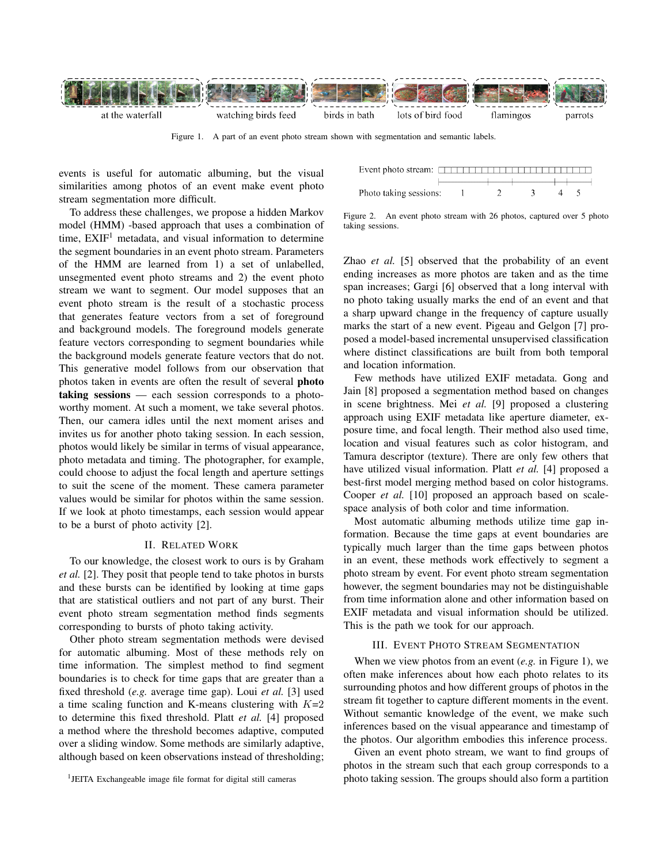

Figure 1. A part of an event photo stream shown with segmentation and semantic labels.

events is useful for automatic albuming, but the visual similarities among photos of an event make event photo stream segmentation more difficult.

To address these challenges, we propose a hidden Markov model (HMM) -based approach that uses a combination of time,  $EXIF<sup>1</sup>$  metadata, and visual information to determine the segment boundaries in an event photo stream. Parameters of the HMM are learned from 1) a set of unlabelled, unsegmented event photo streams and 2) the event photo stream we want to segment. Our model supposes that an event photo stream is the result of a stochastic process that generates feature vectors from a set of foreground and background models. The foreground models generate feature vectors corresponding to segment boundaries while the background models generate feature vectors that do not. This generative model follows from our observation that photos taken in events are often the result of several photo taking sessions — each session corresponds to a photoworthy moment. At such a moment, we take several photos. Then, our camera idles until the next moment arises and invites us for another photo taking session. In each session, photos would likely be similar in terms of visual appearance, photo metadata and timing. The photographer, for example, could choose to adjust the focal length and aperture settings to suit the scene of the moment. These camera parameter values would be similar for photos within the same session. If we look at photo timestamps, each session would appear to be a burst of photo activity [2].

### II. RELATED WORK

To our knowledge, the closest work to ours is by Graham *et al.* [2]. They posit that people tend to take photos in bursts and these bursts can be identified by looking at time gaps that are statistical outliers and not part of any burst. Their event photo stream segmentation method finds segments corresponding to bursts of photo taking activity.

Other photo stream segmentation methods were devised for automatic albuming. Most of these methods rely on time information. The simplest method to find segment boundaries is to check for time gaps that are greater than a fixed threshold (*e.g.* average time gap). Loui *et al.* [3] used a time scaling function and K-means clustering with  $K=2$ to determine this fixed threshold. Platt *et al.* [4] proposed a method where the threshold becomes adaptive, computed over a sliding window. Some methods are similarly adaptive, although based on keen observations instead of thresholding;

Photo taking sessions:

Figure 2. An event photo stream with 26 photos, captured over 5 photo taking sessions.

Zhao *et al.* [5] observed that the probability of an event ending increases as more photos are taken and as the time span increases; Gargi [6] observed that a long interval with no photo taking usually marks the end of an event and that a sharp upward change in the frequency of capture usually marks the start of a new event. Pigeau and Gelgon [7] proposed a model-based incremental unsupervised classification where distinct classifications are built from both temporal and location information.

Few methods have utilized EXIF metadata. Gong and Jain [8] proposed a segmentation method based on changes in scene brightness. Mei *et al.* [9] proposed a clustering approach using EXIF metadata like aperture diameter, exposure time, and focal length. Their method also used time, location and visual features such as color histogram, and Tamura descriptor (texture). There are only few others that have utilized visual information. Platt *et al.* [4] proposed a best-first model merging method based on color histograms. Cooper *et al.* [10] proposed an approach based on scalespace analysis of both color and time information.

Most automatic albuming methods utilize time gap information. Because the time gaps at event boundaries are typically much larger than the time gaps between photos in an event, these methods work effectively to segment a photo stream by event. For event photo stream segmentation however, the segment boundaries may not be distinguishable from time information alone and other information based on EXIF metadata and visual information should be utilized. This is the path we took for our approach.

### III. EVENT PHOTO STREAM SEGMENTATION

When we view photos from an event (*e.g.* in Figure 1), we often make inferences about how each photo relates to its surrounding photos and how different groups of photos in the stream fit together to capture different moments in the event. Without semantic knowledge of the event, we make such inferences based on the visual appearance and timestamp of the photos. Our algorithm embodies this inference process.

Given an event photo stream, we want to find groups of photos in the stream such that each group corresponds to a photo taking session. The groups should also form a partition

<sup>&</sup>lt;sup>1</sup>JEITA Exchangeable image file format for digital still cameras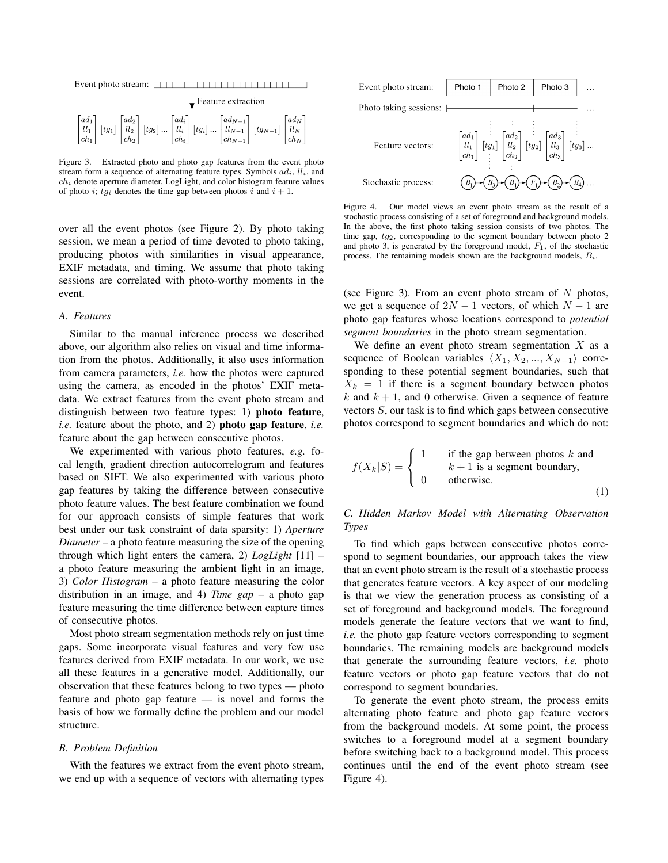| Event photo stream: $\Box$                                                                                                                                                                                                                                                                                                                                                     |                                 |  |  |  |  |
|--------------------------------------------------------------------------------------------------------------------------------------------------------------------------------------------------------------------------------------------------------------------------------------------------------------------------------------------------------------------------------|---------------------------------|--|--|--|--|
|                                                                                                                                                                                                                                                                                                                                                                                | $\downarrow$ Feature extraction |  |  |  |  |
| $\begin{bmatrix} ad_1 \\ ll_1 \\ ch_1 \end{bmatrix} \begin{bmatrix} td_2 \\ ll_2 \\ ch_2 \end{bmatrix} \begin{bmatrix} td_2 \\ lt_2 \end{bmatrix}  \begin{bmatrix} ad_i \\ ll_i \\ ch_i \end{bmatrix} \begin{bmatrix} td_N \\ \vdots \\ ch_N \end{bmatrix}  \begin{bmatrix} ad_{N-1} \\ ll_{N-1} \\ ch_{N-1} \end{bmatrix} \begin{bmatrix} td_N \\ ll_N \\ ch_N \end{bmatrix}$ |                                 |  |  |  |  |

Figure 3. Extracted photo and photo gap features from the event photo stream form a sequence of alternating feature types. Symbols  $ad_i$ ,  $ll_i$ , and  $ch<sub>i</sub>$  denote aperture diameter, LogLight, and color histogram feature values of photo *i*;  $tg_i$  denotes the time gap between photos *i* and  $i + 1$ .

over all the event photos (see Figure 2). By photo taking session, we mean a period of time devoted to photo taking, producing photos with similarities in visual appearance, EXIF metadata, and timing. We assume that photo taking sessions are correlated with photo-worthy moments in the event.

## *A. Features*

Similar to the manual inference process we described above, our algorithm also relies on visual and time information from the photos. Additionally, it also uses information from camera parameters, *i.e.* how the photos were captured using the camera, as encoded in the photos' EXIF metadata. We extract features from the event photo stream and distinguish between two feature types: 1) photo feature, *i.e.* feature about the photo, and 2) photo gap feature, *i.e.* feature about the gap between consecutive photos.

We experimented with various photo features, *e.g.* focal length, gradient direction autocorrelogram and features based on SIFT. We also experimented with various photo gap features by taking the difference between consecutive photo feature values. The best feature combination we found for our approach consists of simple features that work best under our task constraint of data sparsity: 1) *Aperture Diameter* – a photo feature measuring the size of the opening through which light enters the camera, 2) *LogLight* [11] – a photo feature measuring the ambient light in an image, 3) *Color Histogram* – a photo feature measuring the color distribution in an image, and 4) *Time gap* – a photo gap feature measuring the time difference between capture times of consecutive photos.

Most photo stream segmentation methods rely on just time gaps. Some incorporate visual features and very few use features derived from EXIF metadata. In our work, we use all these features in a generative model. Additionally, our observation that these features belong to two types — photo feature and photo gap feature — is novel and forms the basis of how we formally define the problem and our model structure.

### *B. Problem Definition*

With the features we extract from the event photo stream, we end up with a sequence of vectors with alternating types



Figure 4. Our model views an event photo stream as the result of a stochastic process consisting of a set of foreground and background models. In the above, the first photo taking session consists of two photos. The time gap,  $t_{q2}$ , corresponding to the segment boundary between photo 2 and photo 3, is generated by the foreground model,  $F_1$ , of the stochastic process. The remaining models shown are the background models,  $B_i$ .

(see Figure 3). From an event photo stream of  $N$  photos, we get a sequence of  $2N - 1$  vectors, of which  $N - 1$  are photo gap features whose locations correspond to *potential segment boundaries* in the photo stream segmentation.

We define an event photo stream segmentation  $X$  as a sequence of Boolean variables  $\langle X_1, X_2, ..., X_{N-1} \rangle$  corresponding to these potential segment boundaries, such that  $X_k = 1$  if there is a segment boundary between photos k and  $k + 1$ , and 0 otherwise. Given a sequence of feature vectors S, our task is to find which gaps between consecutive photos correspond to segment boundaries and which do not:

$$
f(X_k|S) = \begin{cases} 1 & \text{if the gap between photos } k \text{ and } \\ b + 1 \text{ is a segment boundary,} \\ 0 & \text{otherwise.} \end{cases}
$$
 (1)

# *C. Hidden Markov Model with Alternating Observation Types*

To find which gaps between consecutive photos correspond to segment boundaries, our approach takes the view that an event photo stream is the result of a stochastic process that generates feature vectors. A key aspect of our modeling is that we view the generation process as consisting of a set of foreground and background models. The foreground models generate the feature vectors that we want to find, *i.e.* the photo gap feature vectors corresponding to segment boundaries. The remaining models are background models that generate the surrounding feature vectors, *i.e.* photo feature vectors or photo gap feature vectors that do not correspond to segment boundaries.

To generate the event photo stream, the process emits alternating photo feature and photo gap feature vectors from the background models. At some point, the process switches to a foreground model at a segment boundary before switching back to a background model. This process continues until the end of the event photo stream (see Figure 4).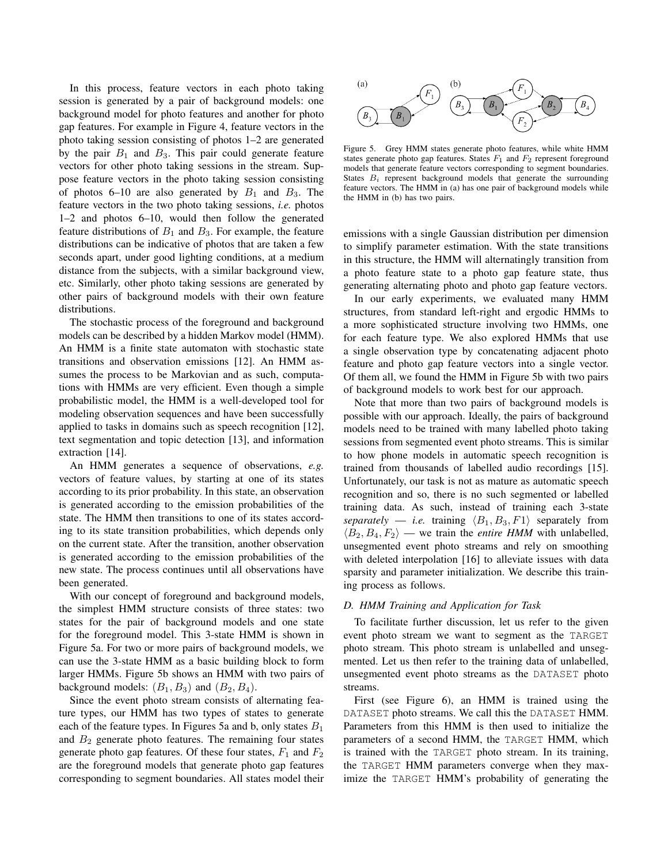In this process, feature vectors in each photo taking session is generated by a pair of background models: one background model for photo features and another for photo gap features. For example in Figure 4, feature vectors in the photo taking session consisting of photos 1–2 are generated by the pair  $B_1$  and  $B_3$ . This pair could generate feature vectors for other photo taking sessions in the stream. Suppose feature vectors in the photo taking session consisting of photos 6–10 are also generated by  $B_1$  and  $B_3$ . The feature vectors in the two photo taking sessions, *i.e.* photos 1–2 and photos 6–10, would then follow the generated feature distributions of  $B_1$  and  $B_3$ . For example, the feature distributions can be indicative of photos that are taken a few seconds apart, under good lighting conditions, at a medium distance from the subjects, with a similar background view, etc. Similarly, other photo taking sessions are generated by other pairs of background models with their own feature distributions.

The stochastic process of the foreground and background models can be described by a hidden Markov model (HMM). An HMM is a finite state automaton with stochastic state transitions and observation emissions [12]. An HMM assumes the process to be Markovian and as such, computations with HMMs are very efficient. Even though a simple probabilistic model, the HMM is a well-developed tool for modeling observation sequences and have been successfully applied to tasks in domains such as speech recognition [12], text segmentation and topic detection [13], and information extraction [14].

An HMM generates a sequence of observations, *e.g.* vectors of feature values, by starting at one of its states according to its prior probability. In this state, an observation is generated according to the emission probabilities of the state. The HMM then transitions to one of its states according to its state transition probabilities, which depends only on the current state. After the transition, another observation is generated according to the emission probabilities of the new state. The process continues until all observations have been generated.

With our concept of foreground and background models, the simplest HMM structure consists of three states: two states for the pair of background models and one state for the foreground model. This 3-state HMM is shown in Figure 5a. For two or more pairs of background models, we can use the 3-state HMM as a basic building block to form larger HMMs. Figure 5b shows an HMM with two pairs of background models:  $(B_1, B_3)$  and  $(B_2, B_4)$ .

Since the event photo stream consists of alternating feature types, our HMM has two types of states to generate each of the feature types. In Figures 5a and b, only states  $B_1$ and  $B_2$  generate photo features. The remaining four states generate photo gap features. Of these four states,  $F_1$  and  $F_2$ are the foreground models that generate photo gap features corresponding to segment boundaries. All states model their



Figure 5. Grey HMM states generate photo features, while white HMM states generate photo gap features. States  $F_1$  and  $F_2$  represent foreground models that generate feature vectors corresponding to segment boundaries. States  $B_i$  represent background models that generate the surrounding feature vectors. The HMM in (a) has one pair of background models while the HMM in (b) has two pairs.

emissions with a single Gaussian distribution per dimension to simplify parameter estimation. With the state transitions in this structure, the HMM will alternatingly transition from a photo feature state to a photo gap feature state, thus generating alternating photo and photo gap feature vectors.

In our early experiments, we evaluated many HMM structures, from standard left-right and ergodic HMMs to a more sophisticated structure involving two HMMs, one for each feature type. We also explored HMMs that use a single observation type by concatenating adjacent photo feature and photo gap feature vectors into a single vector. Of them all, we found the HMM in Figure 5b with two pairs of background models to work best for our approach.

Note that more than two pairs of background models is possible with our approach. Ideally, the pairs of background models need to be trained with many labelled photo taking sessions from segmented event photo streams. This is similar to how phone models in automatic speech recognition is trained from thousands of labelled audio recordings [15]. Unfortunately, our task is not as mature as automatic speech recognition and so, there is no such segmented or labelled training data. As such, instead of training each 3-state *separately* — *i.e.* training  $\langle B_1, B_3, F1 \rangle$  separately from  $\langle B_2, B_4, F_2 \rangle$  — we train the *entire HMM* with unlabelled, unsegmented event photo streams and rely on smoothing with deleted interpolation [16] to alleviate issues with data sparsity and parameter initialization. We describe this training process as follows.

# *D. HMM Training and Application for Task*

To facilitate further discussion, let us refer to the given event photo stream we want to segment as the TARGET photo stream. This photo stream is unlabelled and unsegmented. Let us then refer to the training data of unlabelled, unsegmented event photo streams as the DATASET photo streams.

First (see Figure 6), an HMM is trained using the DATASET photo streams. We call this the DATASET HMM. Parameters from this HMM is then used to initialize the parameters of a second HMM, the TARGET HMM, which is trained with the TARGET photo stream. In its training, the TARGET HMM parameters converge when they maximize the TARGET HMM's probability of generating the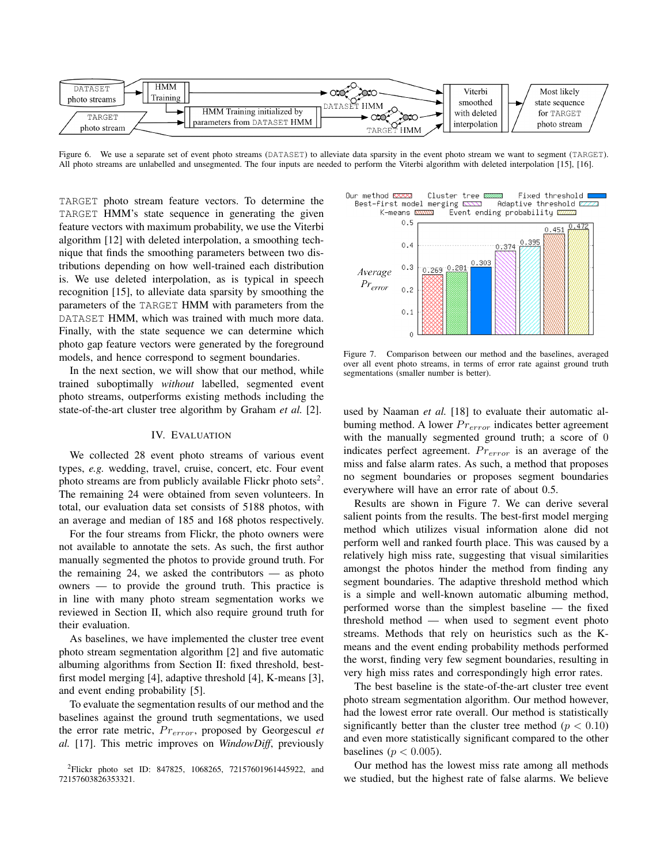

Figure 6. We use a separate set of event photo streams (DATASET) to alleviate data sparsity in the event photo stream we want to segment (TARGET). All photo streams are unlabelled and unsegmented. The four inputs are needed to perform the Viterbi algorithm with deleted interpolation [15], [16].

TARGET photo stream feature vectors. To determine the TARGET HMM's state sequence in generating the given feature vectors with maximum probability, we use the Viterbi algorithm [12] with deleted interpolation, a smoothing technique that finds the smoothing parameters between two distributions depending on how well-trained each distribution is. We use deleted interpolation, as is typical in speech recognition [15], to alleviate data sparsity by smoothing the parameters of the TARGET HMM with parameters from the DATASET HMM, which was trained with much more data. Finally, with the state sequence we can determine which photo gap feature vectors were generated by the foreground models, and hence correspond to segment boundaries.

In the next section, we will show that our method, while trained suboptimally *without* labelled, segmented event photo streams, outperforms existing methods including the state-of-the-art cluster tree algorithm by Graham *et al.* [2].

#### IV. EVALUATION

We collected 28 event photo streams of various event types, *e.g.* wedding, travel, cruise, concert, etc. Four event photo streams are from publicly available Flickr photo sets<sup>2</sup>. The remaining 24 were obtained from seven volunteers. In total, our evaluation data set consists of 5188 photos, with an average and median of 185 and 168 photos respectively.

For the four streams from Flickr, the photo owners were not available to annotate the sets. As such, the first author manually segmented the photos to provide ground truth. For the remaining 24, we asked the contributors  $-$  as photo owners — to provide the ground truth. This practice is in line with many photo stream segmentation works we reviewed in Section II, which also require ground truth for their evaluation.

As baselines, we have implemented the cluster tree event photo stream segmentation algorithm [2] and five automatic albuming algorithms from Section II: fixed threshold, bestfirst model merging [4], adaptive threshold [4], K-means [3], and event ending probability [5].

To evaluate the segmentation results of our method and the baselines against the ground truth segmentations, we used the error rate metric,  $Pr_{error}$ , proposed by Georgescul et *al.* [17]. This metric improves on *WindowDiff*, previously

Our method KXXX Cluster tree **BERREAN** Fixed threshold □ Best-first model Adaptive threshold E merging  $\Sigma\Sigma$ Event ending probability  $\overline{\omega}$ K-means **N** ñ



Figure 7. Comparison between our method and the baselines, averaged over all event photo streams, in terms of error rate against ground truth segmentations (smaller number is better).

used by Naaman *et al.* [18] to evaluate their automatic albuming method. A lower  $Pr_{error}$  indicates better agreement with the manually segmented ground truth; a score of 0 indicates perfect agreement.  $Pr_{error}$  is an average of the miss and false alarm rates. As such, a method that proposes no segment boundaries or proposes segment boundaries everywhere will have an error rate of about 0.5.

Results are shown in Figure 7. We can derive several salient points from the results. The best-first model merging method which utilizes visual information alone did not perform well and ranked fourth place. This was caused by a relatively high miss rate, suggesting that visual similarities amongst the photos hinder the method from finding any segment boundaries. The adaptive threshold method which is a simple and well-known automatic albuming method, performed worse than the simplest baseline — the fixed threshold method — when used to segment event photo streams. Methods that rely on heuristics such as the Kmeans and the event ending probability methods performed the worst, finding very few segment boundaries, resulting in very high miss rates and correspondingly high error rates.

The best baseline is the state-of-the-art cluster tree event photo stream segmentation algorithm. Our method however, had the lowest error rate overall. Our method is statistically significantly better than the cluster tree method ( $p < 0.10$ ) and even more statistically significant compared to the other baselines ( $p < 0.005$ ).

Our method has the lowest miss rate among all methods we studied, but the highest rate of false alarms. We believe

<sup>&</sup>lt;sup>2</sup>Flickr photo set ID: 847825, 1068265, 72157601961445922, and 72157603826353321.